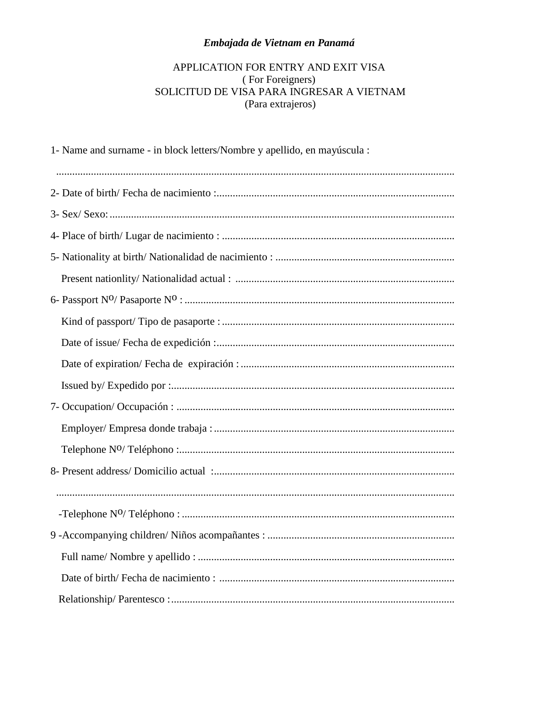## Embajada de Vietnam en Panamá

## APPLICATION FOR ENTRY AND EXIT VISA  $\label{eq:3} \mbox{(For Foreigners)}$  SOLICITUD DE VISA PARA INGRESAR A VIETNAM (Para extrajeros)

| 1- Name and surname - in block letters/Nombre y apellido, en mayúscula : |
|--------------------------------------------------------------------------|
|                                                                          |
|                                                                          |
|                                                                          |
|                                                                          |
|                                                                          |
|                                                                          |
|                                                                          |
|                                                                          |
|                                                                          |
|                                                                          |
|                                                                          |
|                                                                          |
|                                                                          |
|                                                                          |
|                                                                          |
|                                                                          |
|                                                                          |
|                                                                          |
|                                                                          |
|                                                                          |